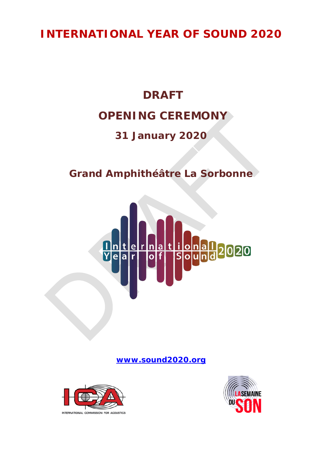## **INTERNATIONAL YEAR OF SOUND 2020**

# **DRAFT OPENING CEREMONY**

### **31 January 2020**

**Grand Amphithéâtre La Sorbonne**



**[www.sound2020.org](http://www.sound2020.org/)**



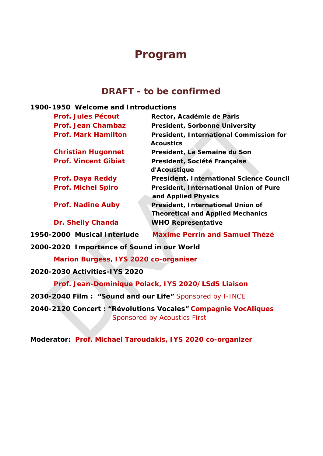### **Program**

### **DRAFT -** *to be confirmed*

#### **1900-1950 Welcome and Introductions**

| <b>Prof. Jules Pécout</b>   | Rector, Académie de Paris                                                            |
|-----------------------------|--------------------------------------------------------------------------------------|
| <b>Prof. Jean Chambaz</b>   | <b>President, Sorbonne University</b>                                                |
| <b>Prof. Mark Hamilton</b>  | <b>President, International Commission for</b><br><b>Acoustics</b>                   |
| <b>Christian Hugonnet</b>   | President, La Semaine du Son                                                         |
| <b>Prof. Vincent Gibiat</b> | President, Société Française<br>d'Acoustique                                         |
| Prof. Daya Reddy            | <b>President, International Science Council</b>                                      |
| <b>Prof. Michel Spiro</b>   | <b>President, International Union of Pure</b><br>and Applied Physics                 |
| <b>Prof. Nadine Auby</b>    | <b>President, International Union of</b><br><b>Theoretical and Applied Mechanics</b> |
| <b>Dr. Shelly Chanda</b>    | <b>WHO Representative</b>                                                            |

**1950-2000 Musical Interlude** *Maxime Perrin and Samuel Thézé*

**2000-2020 Importance of Sound in our World**

*Marion Burgess, IYS 2020 co-organiser*

**2020-2030 Activities-IYS 2020**

*Prof. Jean-Dominique Polack, IYS 2020/LSdS Liaison*

**2030-2040 Film : "Sound and our Life"** *Sponsored by I-INCE*

**2040-2120 Concert : "Révolutions Vocales"** *Compagnie VocAliques Sponsored by Acoustics First*

**Moderator:** *Prof. Michael Taroudakis, IYS 2020 co-organizer*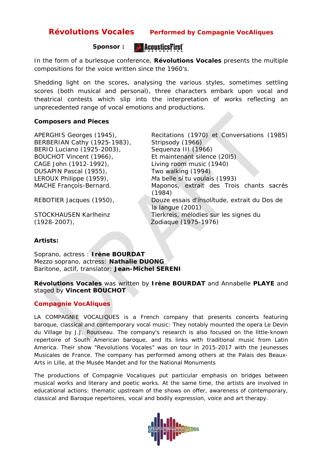#### Révolutions Vocales Performed by Compagnie VocAliques

#### **Sponsor :**



In the form of a burlesque conference, **Révolutions Vocales** presents the multiple compositions for the voice written since the 1960's.

Shedding light on the scores, analysing the various styles, sometimes settling scores (both musical and personal), three characters embark upon vocal and theatrical contests which slip into the interpretation of works reflecting an unprecedented range of vocal emotions and productions.

#### **Composers and Pieces**

BERBERIAN Cathy (1925-1983), *Stripsody (1966)* BERIO Luciano (1925-2003), *Sequenza III (1966)* BOUCHOT Vincent (1966), *Et maintenant silence (20l5)* CAGE John (1912-1992), *Living room music (1940)* DUSAPIN Pascal (1955), *Two walking (1994)* LEROUX Philippe (1959), *Μa belle sί tu voulais* (1993)

APERGHIS Georges (1945), *Recitations (1970) et Conversations (1985)*  MACHE Françοίs-Βernard. *Maponos, extrait des Trois chants sacrés* (1984) REBOTlER Jacques (1950), *Douze essais d'ίnsοlίtude, extrait du Dos de la langue* (2001) STOCKHAUSEN Karlheinz *Tierkreis, mélodies sur les signes du* 

(1928-2007), *Zodiaque* (1975-1976)

#### **Artists:**

*Soprano, actress : Irène BOURDAT Mezzo soprano, actress: Nathalie DUONG Baritone, actif, translator: Jean-Michel SERENI*

#### *Révolutions Vocales was written by Irène BOURDAT and Annabelle PLAYE and staged by Vincent BOUCHOT*

#### **Compagnie VocAliques**

LA COMPAGNIE VOCALIQUES is a French company that presents concerts featuring baroque, classical and contemporary vocal music: They notably mounted the opera *Le Devin du Village* by J.J. Rousseau. The company's research is also focused on the little-known repertoire of South American baroque, and its links with traditional music from Latin America. Their show "Revolutions Vocales" was on tour in 2015-2017 with the Jeunesses Musicales de France. The company has performed among others at the Palais des Beaux-Arts in Lille, at the Musée Mandet and for the National Monuments

The productions of Compagnie Vocaliques put particular emphasis on bridges between musical works and literary and poetic works. At the same time, the artists are involved in educational actions: thematic upstream of the shows on offer, awareness of contemporary, classical and Baroque repertoires, vocal and bodily expression, voice and art therapy.